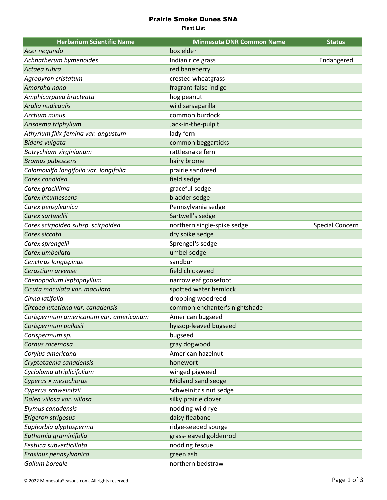## Prairie Smoke Dunes SNA

**Plant List**

| <b>Herbarium Scientific Name</b>       | <b>Minnesota DNR Common Name</b> | <b>Status</b>   |
|----------------------------------------|----------------------------------|-----------------|
| Acer negundo                           | box elder                        |                 |
| Achnatherum hymenoides                 | Indian rice grass                | Endangered      |
| Actaea rubra                           | red baneberry                    |                 |
| Agropyron cristatum                    | crested wheatgrass               |                 |
| Amorpha nana                           | fragrant false indigo            |                 |
| Amphicarpaea bracteata                 | hog peanut                       |                 |
| Aralia nudicaulis                      | wild sarsaparilla                |                 |
| Arctium minus                          | common burdock                   |                 |
| Arisaema triphyllum                    | Jack-in-the-pulpit               |                 |
| Athyrium filix-femina var. angustum    | lady fern                        |                 |
| <b>Bidens vulgata</b>                  | common beggarticks               |                 |
| Botrychium virginianum                 | rattlesnake fern                 |                 |
| <b>Bromus pubescens</b>                | hairy brome                      |                 |
| Calamovilfa longifolia var. longifolia | prairie sandreed                 |                 |
| Carex conoidea                         | field sedge                      |                 |
| Carex gracillima                       | graceful sedge                   |                 |
| Carex intumescens                      | bladder sedge                    |                 |
| Carex pensylvanica                     | Pennsylvania sedge               |                 |
| Carex sartwellii                       | Sartwell's sedge                 |                 |
| Carex scirpoidea subsp. scirpoidea     | northern single-spike sedge      | Special Concern |
| Carex siccata                          | dry spike sedge                  |                 |
| Carex sprengelii                       | Sprengel's sedge                 |                 |
| Carex umbellata                        | umbel sedge                      |                 |
| Cenchrus longispinus                   | sandbur                          |                 |
| Cerastium arvense                      | field chickweed                  |                 |
| Chenopodium leptophyllum               | narrowleaf goosefoot             |                 |
| Cicuta maculata var. maculata          | spotted water hemlock            |                 |
| Cinna latifolia                        | drooping woodreed                |                 |
| Circaea lutetiana var. canadensis      | common enchanter's nightshade    |                 |
| Corispermum americanum var. americanum | American bugseed                 |                 |
| Corispermum pallasii                   | hyssop-leaved bugseed            |                 |
| Corispermum sp.                        | bugseed                          |                 |
| Cornus racemosa                        | gray dogwood                     |                 |
| Corylus americana                      | American hazelnut                |                 |
| Cryptotaenia canadensis                | honewort                         |                 |
| Cycloloma atriplicifolium              | winged pigweed                   |                 |
| Cyperus × mesochorus                   | Midland sand sedge               |                 |
| Cyperus schweinitzii                   | Schweinitz's nut sedge           |                 |
| Dalea villosa var. villosa             | silky prairie clover             |                 |
| Elymus canadensis                      | nodding wild rye                 |                 |
| Erigeron strigosus                     | daisy fleabane                   |                 |
| Euphorbia glyptosperma                 | ridge-seeded spurge              |                 |
| Euthamia graminifolia                  | grass-leaved goldenrod           |                 |
| Festuca subverticillata                | nodding fescue                   |                 |
| Fraxinus pennsylvanica                 | green ash                        |                 |
| Galium boreale                         | northern bedstraw                |                 |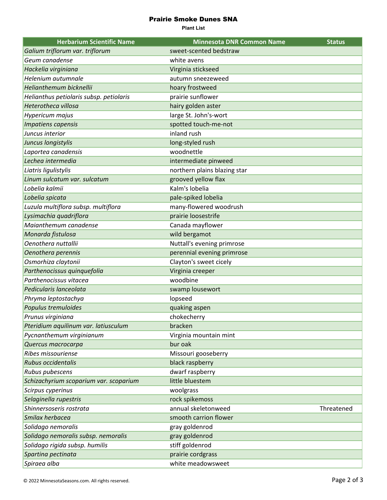## Prairie Smoke Dunes SNA

**Plant List**

| <b>Herbarium Scientific Name</b>        | <b>Minnesota DNR Common Name</b> | <b>Status</b> |
|-----------------------------------------|----------------------------------|---------------|
| Galium triflorum var. triflorum         | sweet-scented bedstraw           |               |
| Geum canadense                          | white avens                      |               |
| Hackelia virginiana                     | Virginia stickseed               |               |
| Helenium autumnale                      | autumn sneezeweed                |               |
| Helianthemum bicknellii                 | hoary frostweed                  |               |
| Helianthus petiolaris subsp. petiolaris | prairie sunflower                |               |
| Heterotheca villosa                     | hairy golden aster               |               |
| Hypericum majus                         | large St. John's-wort            |               |
| Impatiens capensis                      | spotted touch-me-not             |               |
| Juncus interior                         | inland rush                      |               |
| Juncus longistylis                      | long-styled rush                 |               |
| Laportea canadensis                     | woodnettle                       |               |
| Lechea intermedia                       | intermediate pinweed             |               |
| Liatris ligulistylis                    | northern plains blazing star     |               |
| Linum sulcatum var. sulcatum            | grooved yellow flax              |               |
| Lobelia kalmii                          | Kalm's lobelia                   |               |
| Lobelia spicata                         | pale-spiked lobelia              |               |
| Luzula multiflora subsp. multiflora     | many-flowered woodrush           |               |
| Lysimachia quadriflora                  | prairie loosestrife              |               |
| Maianthemum canadense                   | Canada mayflower                 |               |
| Monarda fistulosa                       | wild bergamot                    |               |
| Oenothera nuttallii                     | Nuttall's evening primrose       |               |
| Oenothera perennis                      | perennial evening primrose       |               |
| Osmorhiza claytonii                     | Clayton's sweet cicely           |               |
| Parthenocissus quinquefolia             | Virginia creeper                 |               |
| Parthenocissus vitacea                  | woodbine                         |               |
| Pedicularis lanceolata                  | swamp lousewort                  |               |
| Phryma leptostachya                     | lopseed                          |               |
| Populus tremuloides                     | quaking aspen                    |               |
| Prunus virginiana                       | chokecherry                      |               |
| Pteridium aquilinum var. latiusculum    | bracken                          |               |
| Pycnanthemum virginianum                | Virginia mountain mint           |               |
| Quercus macrocarpa                      | bur oak                          |               |
| Ribes missouriense                      | Missouri gooseberry              |               |
| Rubus occidentalis                      | black raspberry                  |               |
| Rubus pubescens                         | dwarf raspberry                  |               |
| Schizachyrium scoparium var. scoparium  | little bluestem                  |               |
| Scirpus cyperinus                       | woolgrass                        |               |
| Selaginella rupestris                   | rock spikemoss                   |               |
| Shinnersoseris rostrata                 | annual skeletonweed              | Threatened    |
| Smilax herbacea                         | smooth carrion flower            |               |
| Solidago nemoralis                      | gray goldenrod                   |               |
| Solidago nemoralis subsp. nemoralis     | gray goldenrod                   |               |
| Solidago rigida subsp. humilis          | stiff goldenrod                  |               |
| Spartina pectinata                      | prairie cordgrass                |               |
| Spiraea alba                            | white meadowsweet                |               |